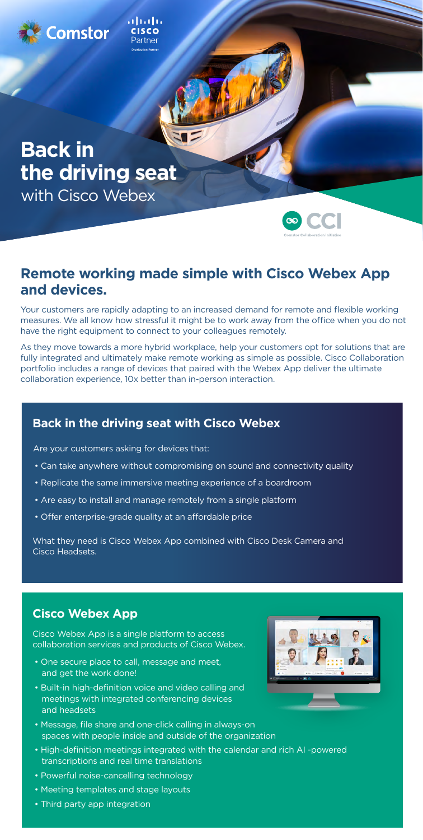## **Remote working made simple with Cisco Webex App and devices.**

Your customers are rapidly adapting to an increased demand for remote and flexible working measures. We all know how stressful it might be to work away from the office when you do not have the right equipment to connect to your colleagues remotely.

- Can take anywhere without compromising on sound and connectivity quality
- Replicate the same immersive meeting experience of a boardroom
- Are easy to install and manage remotely from a single platform
- Offer enterprise-grade quality at an affordable price

As they move towards a more hybrid workplace, help your customers opt for solutions that are fully integrated and ultimately make remote working as simple as possible. Cisco Collaboration portfolio includes a range of devices that paired with the Webex App deliver the ultimate collaboration experience, 10x better than in-person interaction.

#### **Back in the driving seat with Cisco Webex**

Are your customers asking for devices that:

What they need is Cisco Webex App combined with Cisco Desk Camera and Cisco Headsets.



#### **Cisco Webex App**

Cisco Webex App is a single platform to access



collaboration services and products of Cisco Webex.

- One secure place to call, message and meet, and get the work done!
- Built-in high-definition voice and video calling and meetings with integrated conferencing devices and headsets
- Message, file share and one-click calling in always-on spaces with people inside and outside of the organization
- High-definition meetings integrated with the calendar and rich AI -powered transcriptions and real time translations
- Powerful noise-cancelling technology
- Meeting templates and stage layouts
- Third party app integration